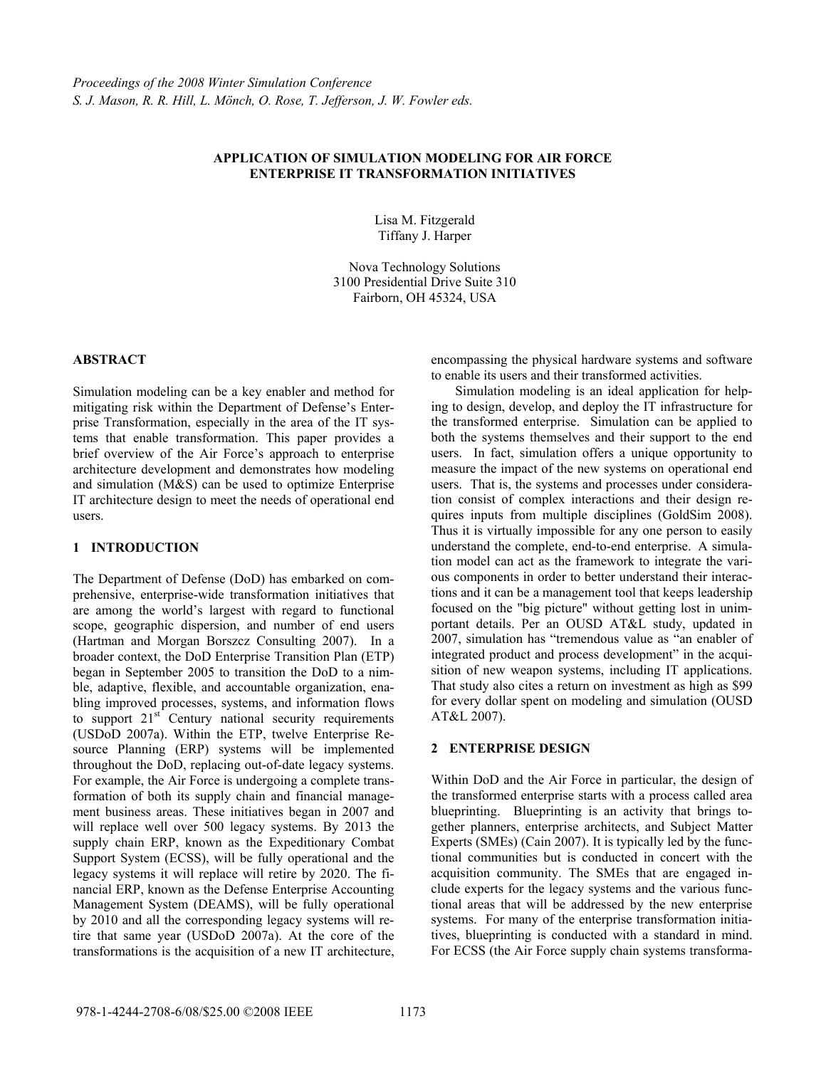# **APPLICATION OF SIMULATION MODELING FOR AIR FORCE ENTERPRISE IT TRANSFORMATION INITIATIVES**

Lisa M. Fitzgerald Tiffany J. Harper

Nova Technology Solutions 3100 Presidential Drive Suite 310 Fairborn, OH 45324, USA

## **ABSTRACT**

Simulation modeling can be a key enabler and method for mitigating risk within the Department of Defense's Enterprise Transformation, especially in the area of the IT systems that enable transformation. This paper provides a brief overview of the Air Force's approach to enterprise architecture development and demonstrates how modeling and simulation (M&S) can be used to optimize Enterprise IT architecture design to meet the needs of operational end users.

# **1 INTRODUCTION**

The Department of Defense (DoD) has embarked on comprehensive, enterprise-wide transformation initiatives that are among the world's largest with regard to functional scope, geographic dispersion, and number of end users (Hartman and Morgan Borszcz Consulting 2007). In a broader context, the DoD Enterprise Transition Plan (ETP) began in September 2005 to transition the DoD to a nimble, adaptive, flexible, and accountable organization, enabling improved processes, systems, and information flows to support  $21<sup>st</sup>$  Century national security requirements (USDoD 2007a). Within the ETP, twelve Enterprise Resource Planning (ERP) systems will be implemented throughout the DoD, replacing out-of-date legacy systems. For example, the Air Force is undergoing a complete transformation of both its supply chain and financial management business areas. These initiatives began in 2007 and will replace well over 500 legacy systems. By 2013 the supply chain ERP, known as the Expeditionary Combat Support System (ECSS), will be fully operational and the legacy systems it will replace will retire by 2020. The financial ERP, known as the Defense Enterprise Accounting Management System (DEAMS), will be fully operational by 2010 and all the corresponding legacy systems will retire that same year (USDoD 2007a). At the core of the transformations is the acquisition of a new IT architecture,

encompassing the physical hardware systems and software to enable its users and their transformed activities.

 Simulation modeling is an ideal application for helping to design, develop, and deploy the IT infrastructure for the transformed enterprise. Simulation can be applied to both the systems themselves and their support to the end users. In fact, simulation offers a unique opportunity to measure the impact of the new systems on operational end users. That is, the systems and processes under consideration consist of complex interactions and their design requires inputs from multiple disciplines (GoldSim 2008). Thus it is virtually impossible for any one person to easily understand the complete, end-to-end enterprise. A simulation model can act as the framework to integrate the various components in order to better understand their interactions and it can be a management tool that keeps leadership focused on the "big picture" without getting lost in unimportant details. Per an OUSD AT&L study, updated in 2007, simulation has "tremendous value as "an enabler of integrated product and process development" in the acquisition of new weapon systems, including IT applications. That study also cites a return on investment as high as \$99 for every dollar spent on modeling and simulation (OUSD AT&L 2007).

# **2 ENTERPRISE DESIGN**

Within DoD and the Air Force in particular, the design of the transformed enterprise starts with a process called area blueprinting. Blueprinting is an activity that brings together planners, enterprise architects, and Subject Matter Experts (SMEs) (Cain 2007). It is typically led by the functional communities but is conducted in concert with the acquisition community. The SMEs that are engaged include experts for the legacy systems and the various functional areas that will be addressed by the new enterprise systems. For many of the enterprise transformation initiatives, blueprinting is conducted with a standard in mind. For ECSS (the Air Force supply chain systems transforma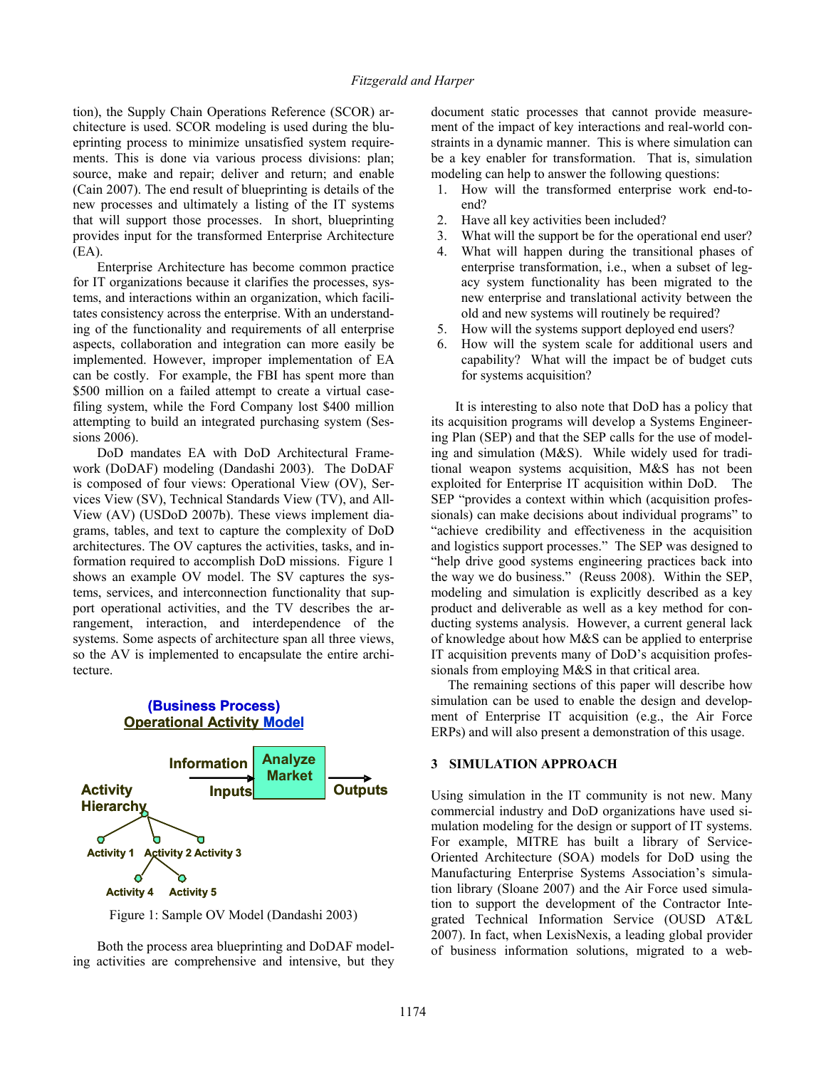tion), the Supply Chain Operations Reference (SCOR) architecture is used. SCOR modeling is used during the blueprinting process to minimize unsatisfied system requirements. This is done via various process divisions: plan; source, make and repair; deliver and return; and enable (Cain 2007). The end result of blueprinting is details of the new processes and ultimately a listing of the IT systems that will support those processes. In short, blueprinting provides input for the transformed Enterprise Architecture (EA).

 Enterprise Architecture has become common practice for IT organizations because it clarifies the processes, systems, and interactions within an organization, which facilitates consistency across the enterprise. With an understanding of the functionality and requirements of all enterprise aspects, collaboration and integration can more easily be implemented. However, improper implementation of EA can be costly. For example, the FBI has spent more than \$500 million on a failed attempt to create a virtual casefiling system, while the Ford Company lost \$400 million attempting to build an integrated purchasing system (Sessions 2006).

 DoD mandates EA with DoD Architectural Framework (DoDAF) modeling (Dandashi 2003). The DoDAF is composed of four views: Operational View (OV), Services View (SV), Technical Standards View (TV), and All-View (AV) (USDoD 2007b). These views implement diagrams, tables, and text to capture the complexity of DoD architectures. The OV captures the activities, tasks, and information required to accomplish DoD missions. Figure 1 shows an example OV model. The SV captures the systems, services, and interconnection functionality that support operational activities, and the TV describes the arrangement, interaction, and interdependence of the systems. Some aspects of architecture span all three views, so the AV is implemented to encapsulate the entire architecture.



Figure 1: Sample OV Model (Dandashi 2003)

 Both the process area blueprinting and DoDAF modeling activities are comprehensive and intensive, but they

document static processes that cannot provide measurement of the impact of key interactions and real-world constraints in a dynamic manner. This is where simulation can be a key enabler for transformation. That is, simulation modeling can help to answer the following questions:

- 1. How will the transformed enterprise work end-toend?
- 2. Have all key activities been included?
- 3. What will the support be for the operational end user?
- 4. What will happen during the transitional phases of enterprise transformation, i.e., when a subset of legacy system functionality has been migrated to the new enterprise and translational activity between the old and new systems will routinely be required?
- 5. How will the systems support deployed end users?
- 6. How will the system scale for additional users and capability? What will the impact be of budget cuts for systems acquisition?

 It is interesting to also note that DoD has a policy that its acquisition programs will develop a Systems Engineering Plan (SEP) and that the SEP calls for the use of modeling and simulation (M&S). While widely used for traditional weapon systems acquisition, M&S has not been exploited for Enterprise IT acquisition within DoD. The SEP "provides a context within which (acquisition professionals) can make decisions about individual programs" to "achieve credibility and effectiveness in the acquisition and logistics support processes." The SEP was designed to "help drive good systems engineering practices back into the way we do business." (Reuss 2008). Within the SEP, modeling and simulation is explicitly described as a key product and deliverable as well as a key method for conducting systems analysis. However, a current general lack of knowledge about how M&S can be applied to enterprise IT acquisition prevents many of DoD's acquisition professionals from employing M&S in that critical area.

 The remaining sections of this paper will describe how simulation can be used to enable the design and development of Enterprise IT acquisition (e.g., the Air Force ERPs) and will also present a demonstration of this usage.

## **3 SIMULATION APPROACH**

Using simulation in the IT community is not new. Many commercial industry and DoD organizations have used simulation modeling for the design or support of IT systems. For example, MITRE has built a library of Service-Oriented Architecture (SOA) models for DoD using the Manufacturing Enterprise Systems Association's simulation library (Sloane 2007) and the Air Force used simulation to support the development of the Contractor Integrated Technical Information Service (OUSD AT&L 2007). In fact, when LexisNexis, a leading global provider of business information solutions, migrated to a web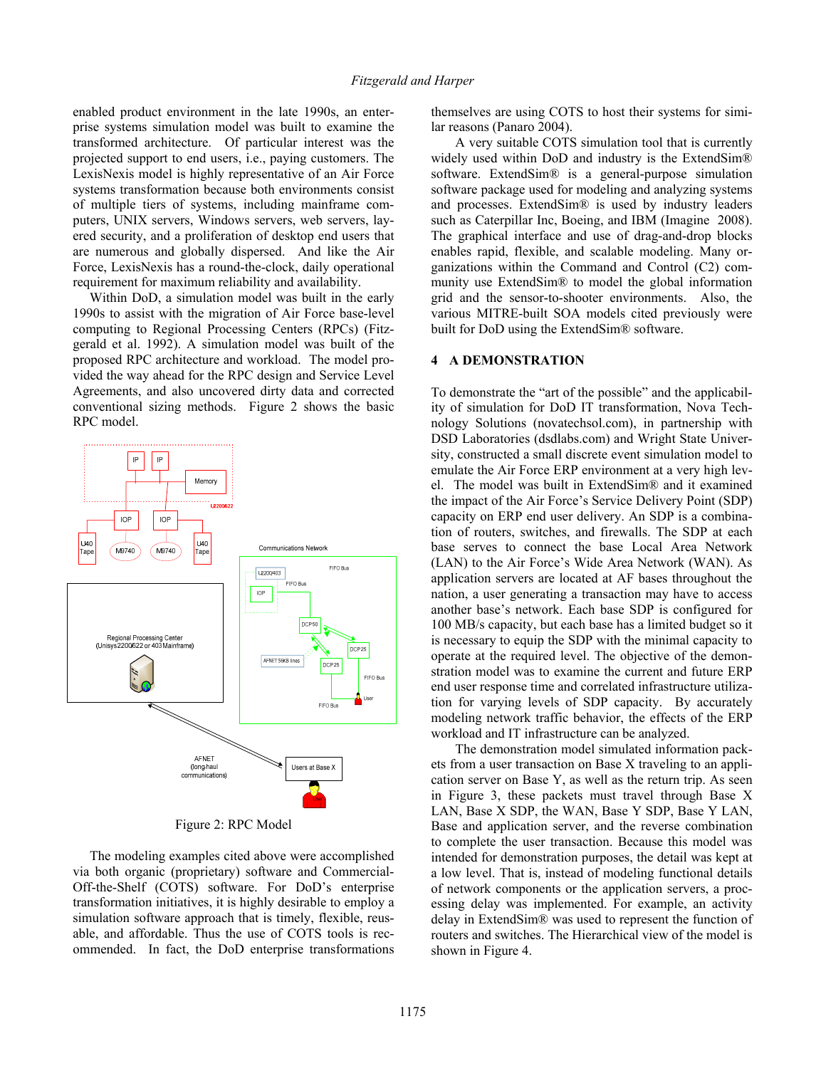enabled product environment in the late 1990s, an enterprise systems simulation model was built to examine the transformed architecture. Of particular interest was the projected support to end users, i.e., paying customers. The LexisNexis model is highly representative of an Air Force systems transformation because both environments consist of multiple tiers of systems, including mainframe computers, UNIX servers, Windows servers, web servers, layered security, and a proliferation of desktop end users that are numerous and globally dispersed. And like the Air Force, LexisNexis has a round-the-clock, daily operational requirement for maximum reliability and availability.

 Within DoD, a simulation model was built in the early 1990s to assist with the migration of Air Force base-level computing to Regional Processing Centers (RPCs) (Fitzgerald et al. 1992). A simulation model was built of the proposed RPC architecture and workload. The model provided the way ahead for the RPC design and Service Level Agreements, and also uncovered dirty data and corrected conventional sizing methods. Figure 2 shows the basic RPC model.



Figure 2: RPC Model

 The modeling examples cited above were accomplished via both organic (proprietary) software and Commercial-Off-the-Shelf (COTS) software. For DoD's enterprise transformation initiatives, it is highly desirable to employ a simulation software approach that is timely, flexible, reusable, and affordable. Thus the use of COTS tools is recommended. In fact, the DoD enterprise transformations themselves are using COTS to host their systems for similar reasons (Panaro 2004).

 A very suitable COTS simulation tool that is currently widely used within DoD and industry is the ExtendSim® software. ExtendSim® is a general-purpose simulation software package used for modeling and analyzing systems and processes. ExtendSim® is used by industry leaders such as Caterpillar Inc, Boeing, and IBM (Imagine 2008). The graphical interface and use of drag-and-drop blocks enables rapid, flexible, and scalable modeling. Many organizations within the Command and Control (C2) community use ExtendSim® to model the global information grid and the sensor-to-shooter environments. Also, the various MITRE-built SOA models cited previously were built for DoD using the ExtendSim® software.

### **4 A DEMONSTRATION**

To demonstrate the "art of the possible" and the applicability of simulation for DoD IT transformation, Nova Technology Solutions (novatechsol.com), in partnership with DSD Laboratories (dsdlabs.com) and Wright State University, constructed a small discrete event simulation model to emulate the Air Force ERP environment at a very high level. The model was built in ExtendSim® and it examined the impact of the Air Force's Service Delivery Point (SDP) capacity on ERP end user delivery. An SDP is a combination of routers, switches, and firewalls. The SDP at each base serves to connect the base Local Area Network (LAN) to the Air Force's Wide Area Network (WAN). As application servers are located at AF bases throughout the nation, a user generating a transaction may have to access another base's network. Each base SDP is configured for 100 MB/s capacity, but each base has a limited budget so it is necessary to equip the SDP with the minimal capacity to operate at the required level. The objective of the demonstration model was to examine the current and future ERP end user response time and correlated infrastructure utilization for varying levels of SDP capacity. By accurately modeling network traffic behavior, the effects of the ERP workload and IT infrastructure can be analyzed.

 The demonstration model simulated information packets from a user transaction on Base X traveling to an application server on Base Y, as well as the return trip. As seen in Figure 3, these packets must travel through Base X LAN, Base X SDP, the WAN, Base Y SDP, Base Y LAN, Base and application server, and the reverse combination to complete the user transaction. Because this model was intended for demonstration purposes, the detail was kept at a low level. That is, instead of modeling functional details of network components or the application servers, a processing delay was implemented. For example, an activity delay in ExtendSim® was used to represent the function of routers and switches. The Hierarchical view of the model is shown in Figure 4.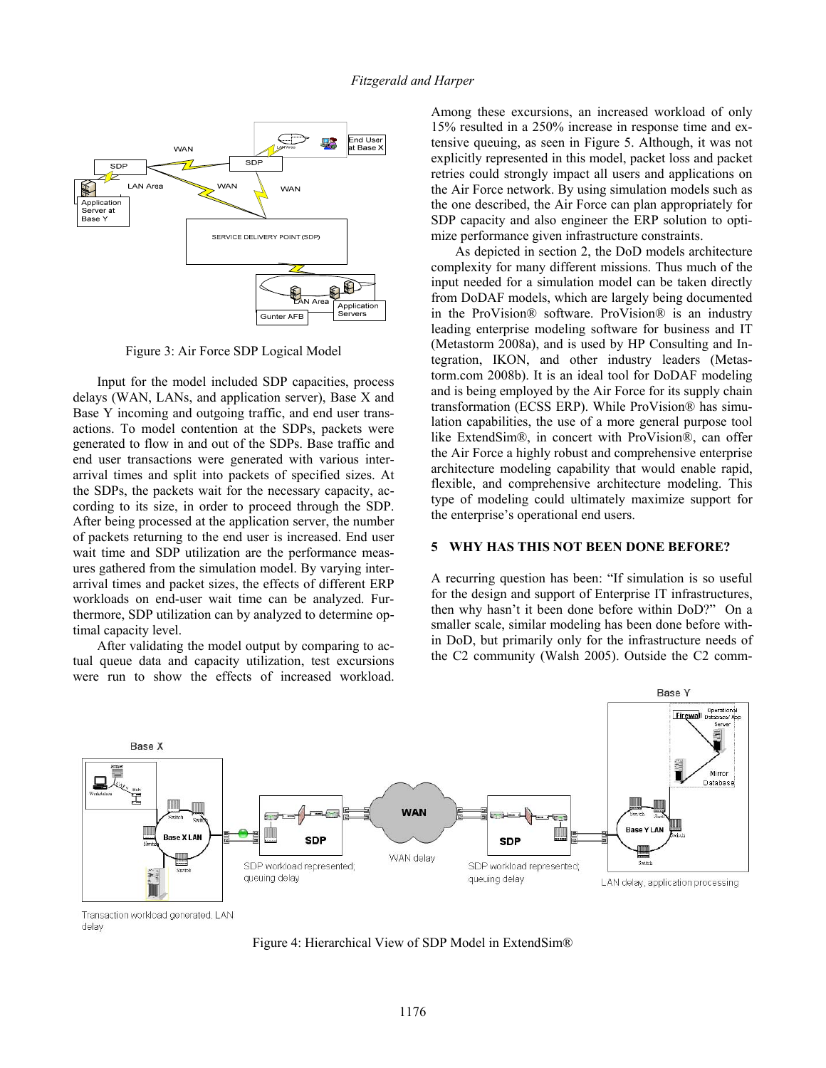

Figure 3: Air Force SDP Logical Model

 Input for the model included SDP capacities, process delays (WAN, LANs, and application server), Base X and Base Y incoming and outgoing traffic, and end user transactions. To model contention at the SDPs, packets were generated to flow in and out of the SDPs. Base traffic and end user transactions were generated with various interarrival times and split into packets of specified sizes. At the SDPs, the packets wait for the necessary capacity, according to its size, in order to proceed through the SDP. After being processed at the application server, the number of packets returning to the end user is increased. End user wait time and SDP utilization are the performance measures gathered from the simulation model. By varying interarrival times and packet sizes, the effects of different ERP workloads on end-user wait time can be analyzed. Furthermore, SDP utilization can by analyzed to determine optimal capacity level.

 After validating the model output by comparing to actual queue data and capacity utilization, test excursions were run to show the effects of increased workload.

Among these excursions, an increased workload of only 15% resulted in a 250% increase in response time and extensive queuing, as seen in Figure 5. Although, it was not explicitly represented in this model, packet loss and packet retries could strongly impact all users and applications on the Air Force network. By using simulation models such as the one described, the Air Force can plan appropriately for SDP capacity and also engineer the ERP solution to optimize performance given infrastructure constraints.

 As depicted in section 2, the DoD models architecture complexity for many different missions. Thus much of the input needed for a simulation model can be taken directly from DoDAF models, which are largely being documented in the ProVision® software. ProVision® is an industry leading enterprise modeling software for business and IT (Metastorm 2008a), and is used by HP Consulting and Integration, IKON, and other industry leaders (Metastorm.com 2008b). It is an ideal tool for DoDAF modeling and is being employed by the Air Force for its supply chain transformation (ECSS ERP). While ProVision® has simulation capabilities, the use of a more general purpose tool like ExtendSim®, in concert with ProVision®, can offer the Air Force a highly robust and comprehensive enterprise architecture modeling capability that would enable rapid, flexible, and comprehensive architecture modeling. This type of modeling could ultimately maximize support for the enterprise's operational end users.

### **5 WHY HAS THIS NOT BEEN DONE BEFORE?**

A recurring question has been: "If simulation is so useful for the design and support of Enterprise IT infrastructures, then why hasn't it been done before within DoD?" On a smaller scale, similar modeling has been done before within DoD, but primarily only for the infrastructure needs of the C2 community (Walsh 2005). Outside the C2 comm-



Transaction workload generated, LAN delay

Figure 4: Hierarchical View of SDP Model in ExtendSim®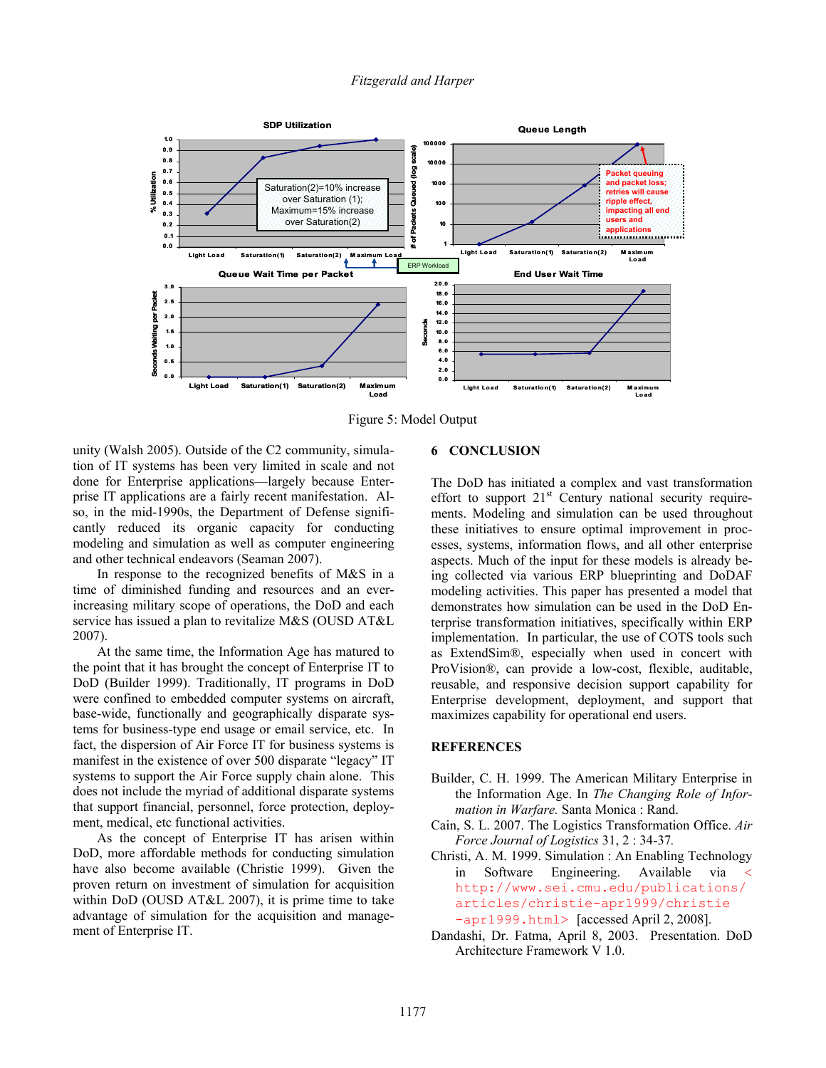

Figure 5: Model Output

unity (Walsh 2005). Outside of the C2 community, simulation of IT systems has been very limited in scale and not done for Enterprise applications—largely because Enterprise IT applications are a fairly recent manifestation. Also, in the mid-1990s, the Department of Defense significantly reduced its organic capacity for conducting modeling and simulation as well as computer engineering and other technical endeavors (Seaman 2007).

 In response to the recognized benefits of M&S in a time of diminished funding and resources and an everincreasing military scope of operations, the DoD and each service has issued a plan to revitalize M&S (OUSD AT&L 2007).

 At the same time, the Information Age has matured to the point that it has brought the concept of Enterprise IT to DoD (Builder 1999). Traditionally, IT programs in DoD were confined to embedded computer systems on aircraft, base-wide, functionally and geographically disparate systems for business-type end usage or email service, etc. In fact, the dispersion of Air Force IT for business systems is manifest in the existence of over 500 disparate "legacy" IT systems to support the Air Force supply chain alone. This does not include the myriad of additional disparate systems that support financial, personnel, force protection, deployment, medical, etc functional activities.

As the concept of Enterprise IT has arisen within DoD, more affordable methods for conducting simulation have also become available (Christie 1999). Given the proven return on investment of simulation for acquisition within DoD (OUSD AT&L 2007), it is prime time to take advantage of simulation for the acquisition and management of Enterprise IT.

### **6 CONCLUSION**

The DoD has initiated a complex and vast transformation effort to support 21<sup>st</sup> Century national security requirements. Modeling and simulation can be used throughout these initiatives to ensure optimal improvement in processes, systems, information flows, and all other enterprise aspects. Much of the input for these models is already being collected via various ERP blueprinting and DoDAF modeling activities. This paper has presented a model that demonstrates how simulation can be used in the DoD Enterprise transformation initiatives, specifically within ERP implementation. In particular, the use of COTS tools such as ExtendSim®, especially when used in concert with ProVision®, can provide a low-cost, flexible, auditable, reusable, and responsive decision support capability for Enterprise development, deployment, and support that maximizes capability for operational end users.

#### **REFERENCES**

- Builder, C. H. 1999. The American Military Enterprise in the Information Age. In *The Changing Role of Information in Warfare.* Santa Monica : Rand.
- Cain, S. L. 2007. The Logistics Transformation Office. *Air Force Journal of Logistics* 31, 2 : 34-37*.*
- Christi, A. M. 1999. Simulation : An Enabling Technology in Software Engineering. Available via < http://www.sei.cmu.edu/publications/ articles/christie-apr1999/christie -apr1999.html> [accessed April 2, 2008].
- Dandashi, Dr. Fatma, April 8, 2003. Presentation. DoD Architecture Framework V 1.0.